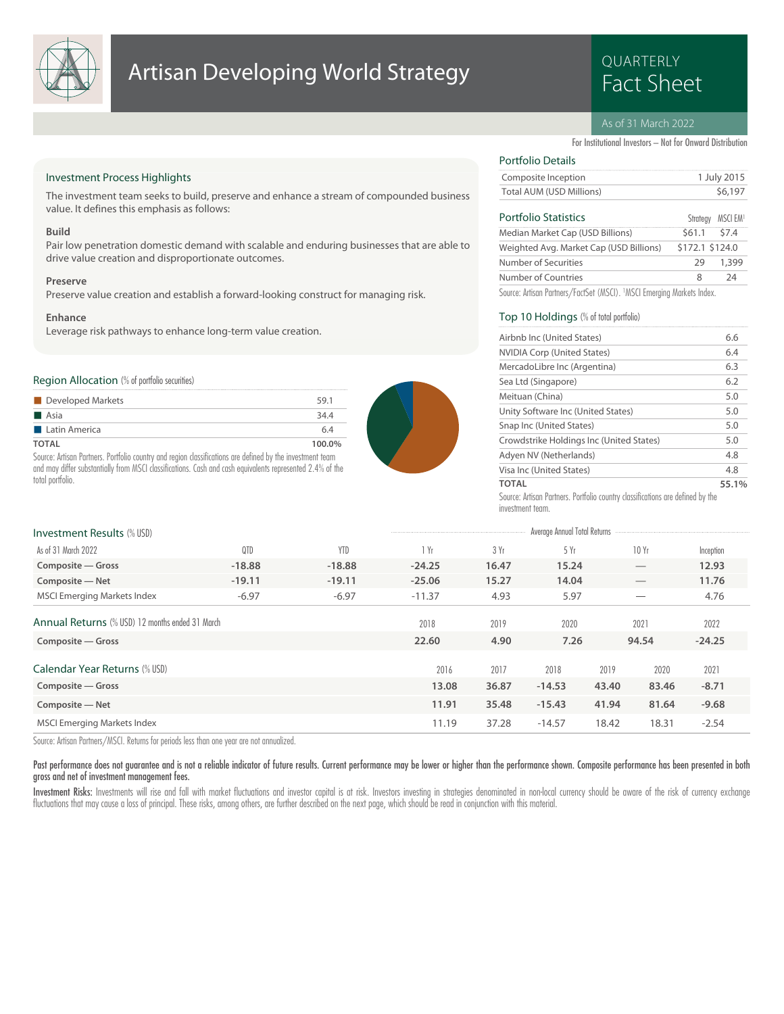

## Artisan Developing World Strategy<br>Fact Sheet

# QUARTERLY

#### As of 31 March 2022

For Institutional Investors – Not for Onward Distribution

#### Investment Process Highlights

The investment team seeks to build, preserve and enhance a stream of compounded business value. It defines this emphasis as follows:

#### **Build**

Pair low penetration domestic demand with scalable and enduring businesses that are able to drive value creation and disproportionate outcomes.

#### **Preserve**

Preserve value creation and establish a forward-looking construct for managing risk.

#### **Enhance**

Leverage risk pathways to enhance long-term value creation.

#### Region Allocation (% of portfolio securities)

| Developed Markets    | 59.1   |
|----------------------|--------|
| <b>Asia</b>          | 34.4   |
| <b>Latin America</b> | 6.4    |
| TOTAL                | 100.0% |

Source: Artisan Partners. Portfolio country and region classifications are defined by the investment team and may differ substantially from MSCI classifications. Cash and cash equivalents represented 2.4% of the total portfolio.



#### Total AUM (USD Millions) \$6,197 Composite Inception 1 July 2015

| <b>Portfolio Statistics</b>                                            |                 | Strategy MSCI EM1 |
|------------------------------------------------------------------------|-----------------|-------------------|
| Median Market Cap (USD Billions)                                       | $$61.1$ $$7.4$  |                   |
| Weighted Avg. Market Cap (USD Billions)                                | \$172.1 \$124.0 |                   |
| Number of Securities                                                   | 29              | 1,399             |
| Number of Countries                                                    | 8               | 74                |
| Source: Artisan Partners/FactSet (MSCI). 1MSCI Emerging Markets Index. |                 |                   |

#### Top 10 Holdings (% of total portfolio)

Portfolio Details

| Airbnb Inc (United States)                                                     | 6.6   |
|--------------------------------------------------------------------------------|-------|
| <b>NVIDIA Corp (United States)</b>                                             | 6.4   |
| MercadoLibre Inc (Argentina)                                                   | 6.3   |
| Sea Ltd (Singapore)                                                            | 6.2   |
| Meituan (China)                                                                | 5.0   |
| Unity Software Inc (United States)                                             | 5.0   |
| Snap Inc (United States)                                                       | 5.0   |
| Crowdstrike Holdings Inc (United States)                                       | 5.0   |
| Adyen NV (Netherlands)                                                         | 4.8   |
| Visa Inc (United States)                                                       | 4.8   |
| <b>TOTAL</b>                                                                   | 55.1% |
| Source: Artisan Partners. Portfolio country classifications are defined by the |       |

investment team.

| <b>Investment Results (% USD)</b>               |          |            |          |       | Average Annual Total Returns |       |       |           |
|-------------------------------------------------|----------|------------|----------|-------|------------------------------|-------|-------|-----------|
| As of 31 March 2022                             | QTD      | <b>YTD</b> | 1 Yr     | 3 Yr  | 5 Yr                         |       | 10Yr  | Inception |
| Composite – Gross                               | $-18.88$ | $-18.88$   | $-24.25$ | 16.47 | 15.24                        |       |       | 12.93     |
| Composite - Net                                 | $-19.11$ | $-19.11$   | $-25.06$ | 15.27 | 14.04                        |       |       | 11.76     |
| <b>MSCI Emerging Markets Index</b>              | $-6.97$  | $-6.97$    | $-11.37$ | 4.93  | 5.97                         |       |       | 4.76      |
| Annual Returns (% USD) 12 months ended 31 March |          |            | 2018     | 2019  | 2020                         |       | 2021  | 2022      |
| Composite - Gross                               |          |            | 22.60    | 4.90  | 7.26                         |       | 94.54 | $-24.25$  |
| Calendar Year Returns (% USD)                   |          |            | 2016     | 2017  | 2018                         | 2019  | 2020  | 2021      |
| Composite - Gross                               |          |            | 13.08    | 36.87 | $-14.53$                     | 43.40 | 83.46 | $-8.71$   |
| Composite - Net                                 |          |            | 11.91    | 35.48 | $-15.43$                     | 41.94 | 81.64 | $-9.68$   |
| <b>MSCI Emerging Markets Index</b>              |          |            | 11.19    | 37.28 | $-14.57$                     | 18.42 | 18.31 | $-2.54$   |

Source: Artisan Partners/MSCI. Returns for periods less than one year are not annualized.

Past performance does not guarantee and is not a reliable indicator of future results. Current performance may be lower or higher than the performance shown. Composite performance has been presented in both gross and net of investment management fees.

Investment Risks: Investments will rise and fall with market fluctuations and investor capital is at risk. Investors investing in strategies denominated in non-local currency should be aware of the risk of currency exchang fluctuations that may cause a loss of principal. These risks, among others, are further described on the next page, which should be read in conjunction with this material.